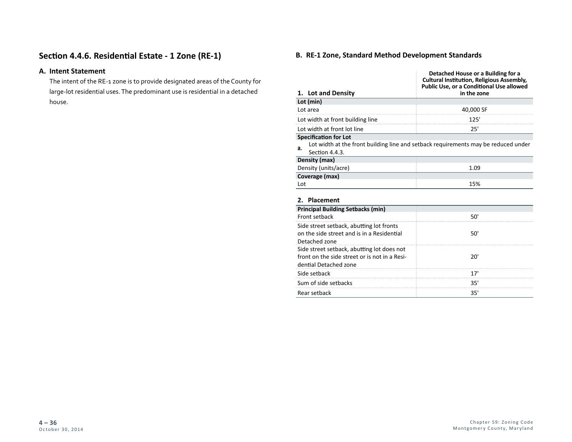# **Section 4.4.6. Residential Estate - 1 Zone (RE-1)**

## **A. Intent Statement**

The intent of the RE-1 zone is to provide designated areas of the County for large-lot residential uses. The predominant use is residential in a detached house.

## **B. RE-1 Zone, Standard Method Development Standards**

|                                                             | Detached House or a Building for a<br><b>Cultural Institution, Religious Assembly,</b><br>Public Use, or a Conditional Use allowed |
|-------------------------------------------------------------|------------------------------------------------------------------------------------------------------------------------------------|
| 1. Lot and Density                                          | in the zone                                                                                                                        |
| Lot (min)                                                   |                                                                                                                                    |
| Lot area                                                    | 40,000 SF                                                                                                                          |
| Lot width at front building line                            | 125'                                                                                                                               |
| Lot width at front lot line                                 | 25'                                                                                                                                |
| <b>Specification for Lot</b><br>а.<br>Section 4.4.3.        | Lot width at the front building line and setback requirements may be reduced under                                                 |
| Density (max)                                               |                                                                                                                                    |
| Density (units/acre)                                        | 1.09                                                                                                                               |
| Coverage (max)                                              |                                                                                                                                    |
| Lot                                                         | 15%                                                                                                                                |
| 2. Placement                                                |                                                                                                                                    |
| <b>Principal Building Setbacks (min)</b>                    |                                                                                                                                    |
| Front setback                                               | 50'                                                                                                                                |
| Side street setback, abutting lot fronts                    |                                                                                                                                    |
| on the side street and is in a Residential<br>Detached zone | 50'                                                                                                                                |
| Side street setback, abutting lot does not                  |                                                                                                                                    |
| front on the side street or is not in a Resi-               | 20'                                                                                                                                |
| dential Detached zone                                       |                                                                                                                                    |
| Side setback                                                | 17'                                                                                                                                |
| Sum of side setbacks                                        | 35'                                                                                                                                |
| Rear setback                                                | 35'                                                                                                                                |